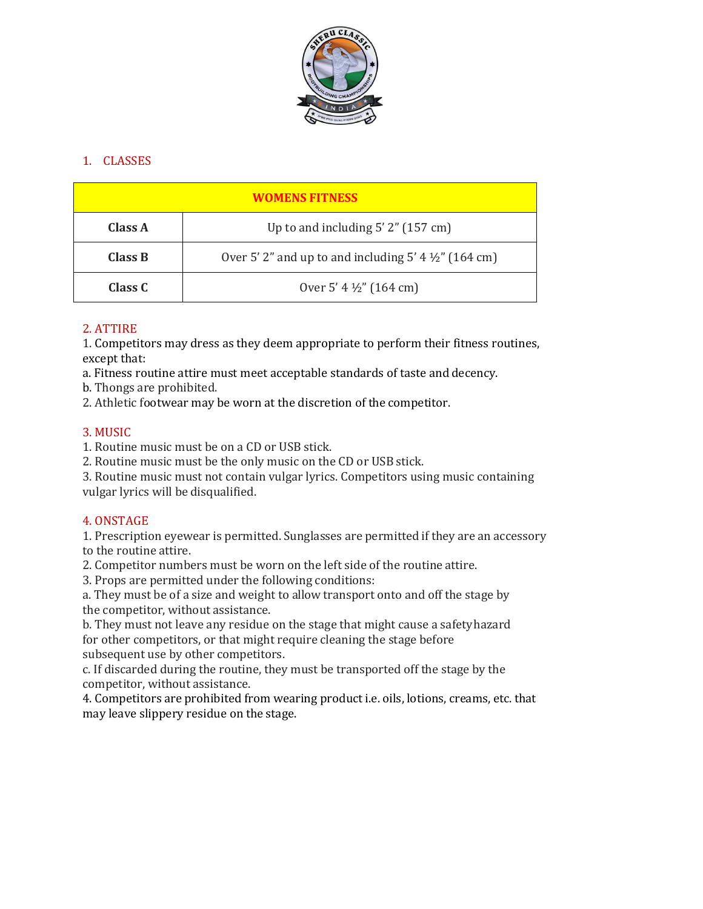

# 1. CLASSES

| <b>WOMENS FITNESS</b> |                                                                  |
|-----------------------|------------------------------------------------------------------|
| Class A               | Up to and including $5'$ 2" (157 cm)                             |
| Class B               | Over 5' 2" and up to and including 5' 4 $\frac{1}{2}$ " (164 cm) |
| Class C               | Over 5' 4 $\frac{1}{2}$ " (164 cm)                               |

# 2. ATTIRE

1. Competitors may dress as they deem appropriate to perform their fitness routines, except that:

a. Fitness routine attire must meet acceptable standards of taste and decency.

b. Thongs are prohibited.

2. Athletic footwear may be worn at the discretion of the competitor.

# 3. MUSIC

1. Routine music must be on a CD or USB stick.

2. Routine music must be the only music on the CD or USB stick.

3. Routine music must not contain vulgar lyrics. Competitors using music containing vulgar lyrics will be disqualified.

# 4. ONSTAGE

1. Prescription eyewear is permitted. Sunglasses are permitted if they are an accessory to the routine attire.

2. Competitor numbers must be worn on the left side of the routine attire.

3. Props are permitted under the following conditions:

a. They must be of a size and weight to allow transport onto and off the stage by the competitor, without assistance.

b. They must not leave any residue on the stage that might cause a safetyhazard for other competitors, or that might require cleaning the stage before subsequent use by other competitors.

c. If discarded during the routine, they must be transported off the stage by the competitor, without assistance.

4. Competitors are prohibited from wearing product i.e. oils, lotions, creams, etc. that may leave slippery residue on the stage.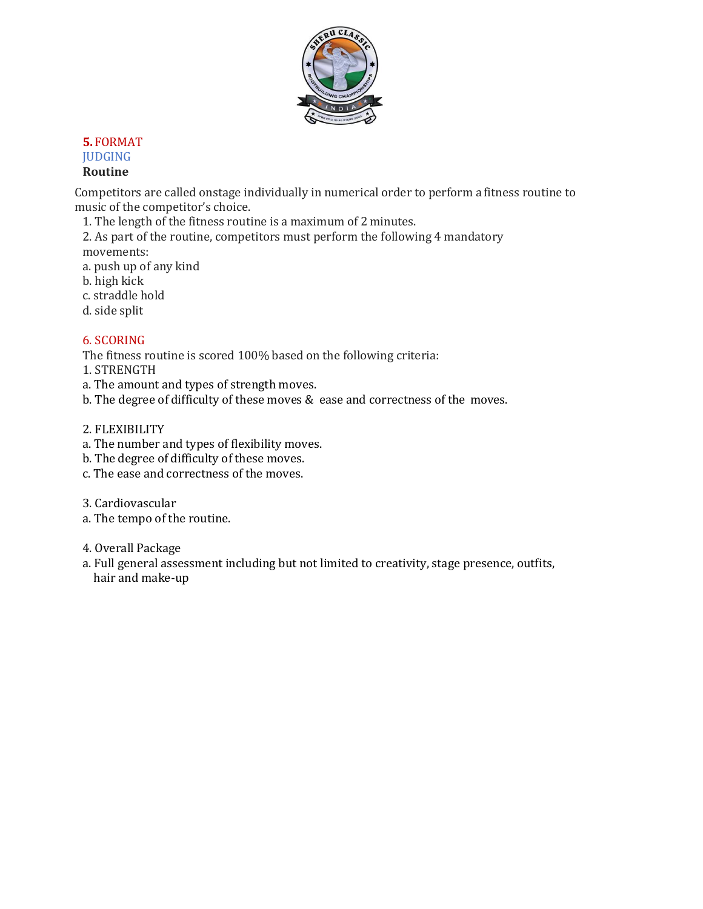

## **5.** FORMAT **JUDGING Routine**

Competitors are called onstage individually in numerical order to perform a fitness routine to music of the competitor's choice.

1. The length of the fitness routine is a maximum of 2 minutes.

2. As part of the routine, competitors must perform the following 4 mandatory movements:

a. push up of any kind b. high kick

- c. straddle hold
- d. side split

# 6. SCORING

The fitness routine is scored 100% based on the following criteria:

1. STRENGTH

- a. The amount and types of strength moves.
- b. The degree of difficulty of these moves & ease and correctness of the moves.
- 2. FLEXIBILITY
- a. The number and types of flexibility moves.
- b. The degree of difficulty of these moves.
- c. The ease and correctness of the moves.
- 3. Cardiovascular
- a. The tempo of the routine.
- 4. Overall Package
- a. Full general assessment including but not limited to creativity, stage presence, outfits, hair and make-up